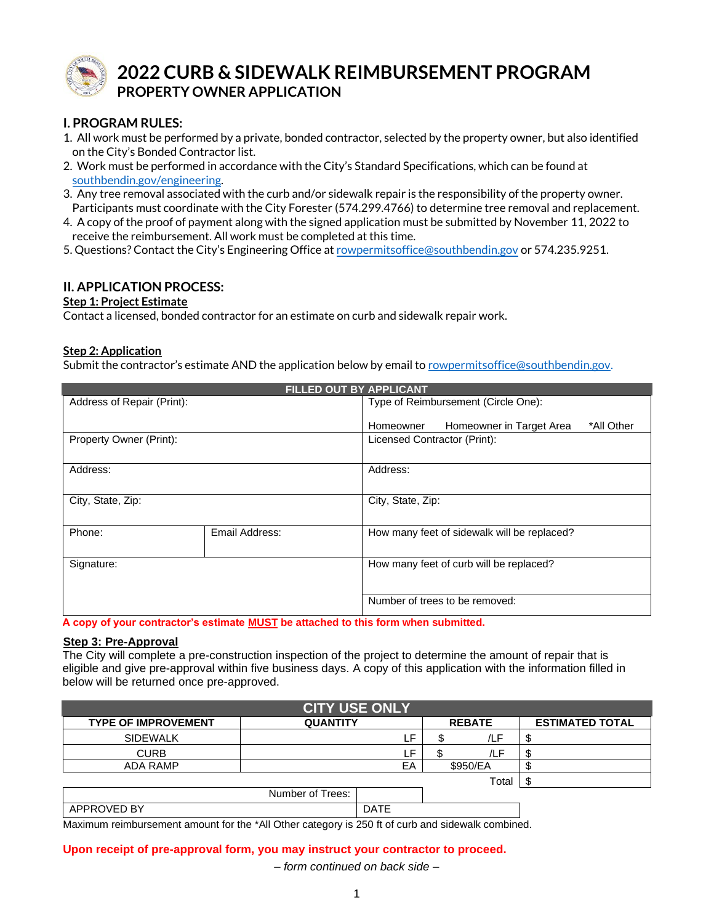

# **2022 CURB & SIDEWALK REIMBURSEMENT PROGRAM PROPERTY OWNER APPLICATION**

# **I. PROGRAM RULES:**

- 1. All work must be performed by a private, bonded contractor, selected by the property owner, but also identified on the City's Bonded Contractor list.
- 2. Work must be performed in accordance with the City's Standard Specifications, which can be found at [southbendin.gov/engineering.](https://southbendin.gov/department/public-works/engineering/)
- 3. Any tree removal associated with the curb and/or sidewalk repair is the responsibility of the property owner. Participants must coordinate with the City Forester (574.299.4766) to determine tree removal and replacement.
- 4. A copy of the proof of payment along with the signed application must be submitted by November 11, 2022 to receive the reimbursement. All work must be completed at this time.
- 5. Questions? Contact the City's Engineering Office at [rowpermitsoffice@southbendin.gov](mailto:rowpermitsoffice@southbendin.gov) or 574.235.9251.

## **II. APPLICATION PROCESS:**

### **Step 1: Project Estimate**

Contact a licensed, bonded contractor for an estimate on curb and sidewalk repair work.

### **Step 2: Application**

Submit the contractor's estimate AND the application below by email to [rowpermitsoffice@southbendin.gov.](mailto:rowpermitsoffice@southbendin.gov?subject=Curb%20&%20Sidewalk%20Reimbursement%20Program)

| FILLED OUT BY APPLICANT    |                |                                                     |  |  |  |
|----------------------------|----------------|-----------------------------------------------------|--|--|--|
| Address of Repair (Print): |                | Type of Reimbursement (Circle One):                 |  |  |  |
|                            |                | Homeowner in Target Area<br>*All Other<br>Homeowner |  |  |  |
| Property Owner (Print):    |                | Licensed Contractor (Print):                        |  |  |  |
|                            |                |                                                     |  |  |  |
| Address:                   |                | Address:                                            |  |  |  |
|                            |                |                                                     |  |  |  |
| City, State, Zip:          |                | City, State, Zip:                                   |  |  |  |
|                            |                |                                                     |  |  |  |
| Phone:                     | Email Address: | How many feet of sidewalk will be replaced?         |  |  |  |
|                            |                |                                                     |  |  |  |
| Signature:                 |                | How many feet of curb will be replaced?             |  |  |  |
|                            |                |                                                     |  |  |  |
|                            |                | Number of trees to be removed:                      |  |  |  |
|                            |                |                                                     |  |  |  |

**A copy of your contractor's estimate MUST be attached to this form when submitted.**

#### **Step 3: Pre-Approval**

The City will complete a pre-construction inspection of the project to determine the amount of repair that is eligible and give pre-approval within five business days. A copy of this application with the information filled in below will be returned once pre-approved.

| <b>CITY USE ONLY</b>       |                  |             |               |          |                        |  |
|----------------------------|------------------|-------------|---------------|----------|------------------------|--|
| <b>TYPE OF IMPROVEMENT</b> | <b>QUANTITY</b>  |             | <b>REBATE</b> |          | <b>ESTIMATED TOTAL</b> |  |
| <b>SIDEWALK</b>            |                  | ٢F.         |               | /LF      | ъĐ                     |  |
| <b>CURB</b>                |                  | LF.         |               | /LF      | Æ                      |  |
| <b>ADA RAMP</b>            |                  | EA          |               | \$950/EA |                        |  |
|                            |                  |             |               | Total    |                        |  |
|                            | Number of Trees: |             |               |          |                        |  |
| APPROVED BY                |                  | <b>DATE</b> |               |          |                        |  |

Maximum reimbursement amount for the \*All Other category is 250 ft of curb and sidewalk combined.

#### **Upon receipt of pre-approval form, you may instruct your contractor to proceed.**

*– form continued on back side –*